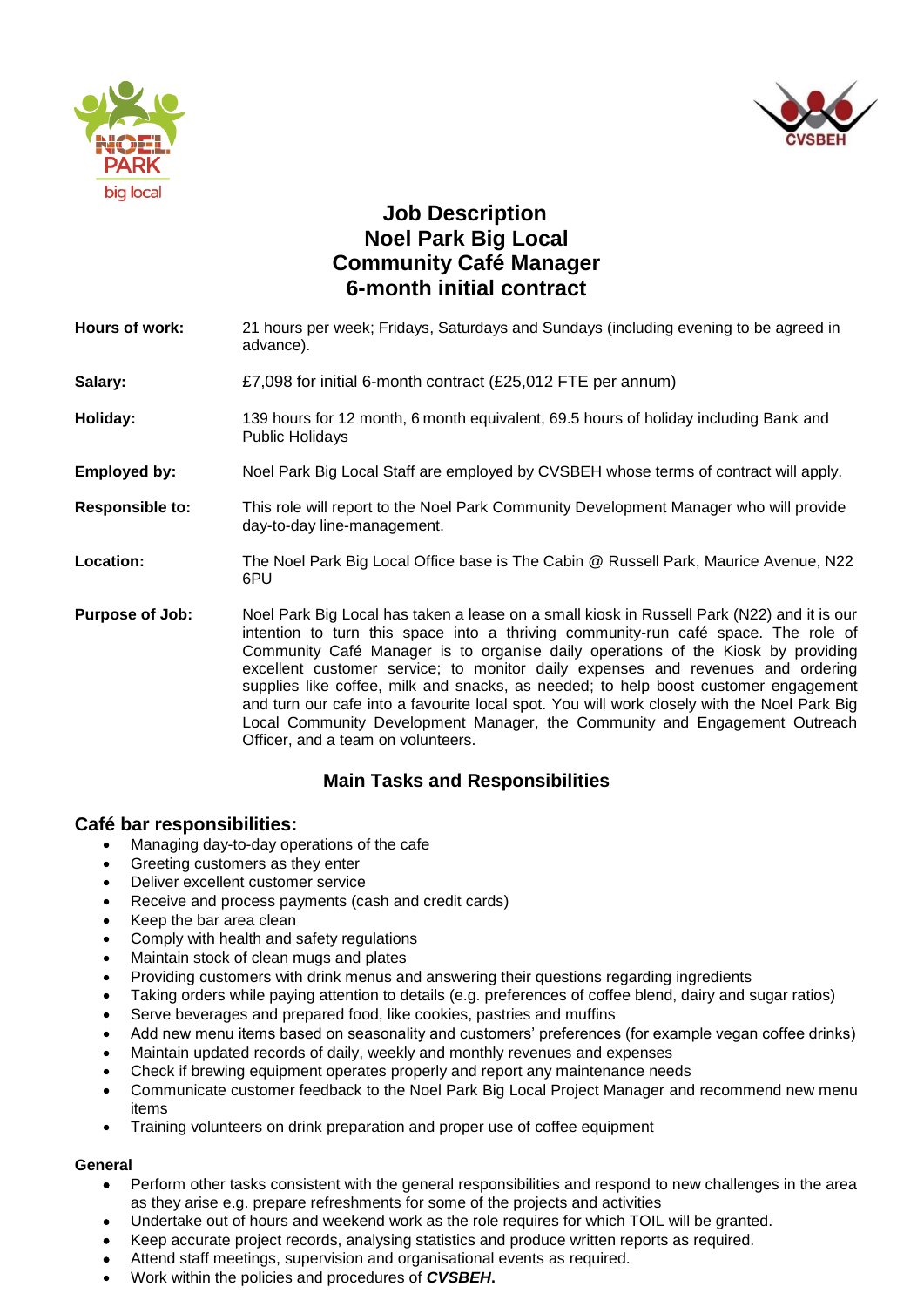



# **Job Description Noel Park Big Local Community Café Manager 6-month initial contract**

- **Hours of work:** 21 hours per week; Fridays, Saturdays and Sundays (including evening to be agreed in advance).
- **Salary:**  $£7,098$  for initial 6-month contract (£25,012 FTE per annum)
- **Holiday:** 139 hours for 12 month, 6 month equivalent, 69.5 hours of holiday including Bank and Public Holidays
- **Employed by:** Noel Park Big Local Staff are employed by CVSBEH whose terms of contract will apply.
- **Responsible to:** This role will report to the Noel Park Community Development Manager who will provide day-to-day line-management.
- **Location:** The Noel Park Big Local Office base is The Cabin @ Russell Park, Maurice Avenue, N22 6PU
- **Purpose of Job:** Noel Park Big Local has taken a lease on a small kiosk in Russell Park (N22) and it is our intention to turn this space into a thriving community-run café space. The role of Community Café Manager is to organise daily operations of the Kiosk by providing excellent customer service; to monitor daily expenses and revenues and ordering supplies like coffee, milk and snacks, as needed; to help boost customer engagement and turn our cafe into a favourite local spot. You will work closely with the Noel Park Big Local Community Development Manager, the Community and Engagement Outreach Officer, and a team on volunteers.

## **Main Tasks and Responsibilities**

### **Café bar responsibilities:**

- Managing day-to-day operations of the cafe
- Greeting customers as they enter
- Deliver excellent customer service
- Receive and process payments (cash and credit cards)
- Keep the bar area clean
- Comply with health and safety regulations
- Maintain stock of clean mugs and plates
- Providing customers with drink menus and answering their questions regarding ingredients
- Taking orders while paying attention to details (e.g. preferences of coffee blend, dairy and sugar ratios)
- Serve beverages and prepared food, like cookies, pastries and muffins
- Add new menu items based on seasonality and customers' preferences (for example vegan coffee drinks)
- Maintain updated records of daily, weekly and monthly revenues and expenses
- Check if brewing equipment operates properly and report any maintenance needs
- Communicate customer feedback to the Noel Park Big Local Project Manager and recommend new menu items
- Training volunteers on drink preparation and proper use of coffee equipment

#### **General**

- Perform other tasks consistent with the general responsibilities and respond to new challenges in the area as they arise e.g. prepare refreshments for some of the projects and activities
- Undertake out of hours and weekend work as the role requires for which TOIL will be granted.
- Keep accurate project records, analysing statistics and produce written reports as required.
- Attend staff meetings, supervision and organisational events as required.
- Work within the policies and procedures of *CVSBEH***.**